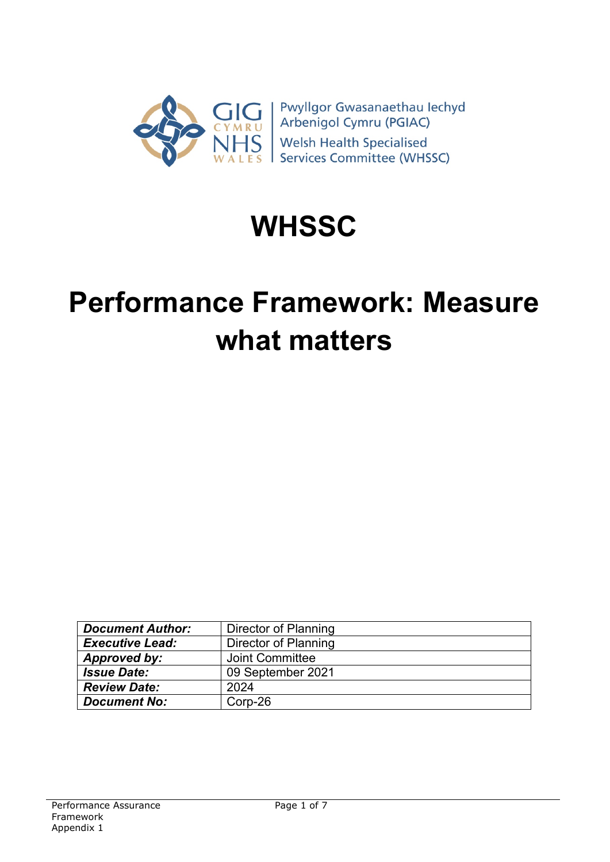

# **WHSSC**

# **Performance Framework: Measure what matters**

| <b>Document Author:</b> | Director of Planning   |
|-------------------------|------------------------|
| <b>Executive Lead:</b>  | Director of Planning   |
| Approved by:            | <b>Joint Committee</b> |
| <b>Issue Date:</b>      | 09 September 2021      |
| <b>Review Date:</b>     | 2024                   |
| <b>Document No:</b>     | Corp-26                |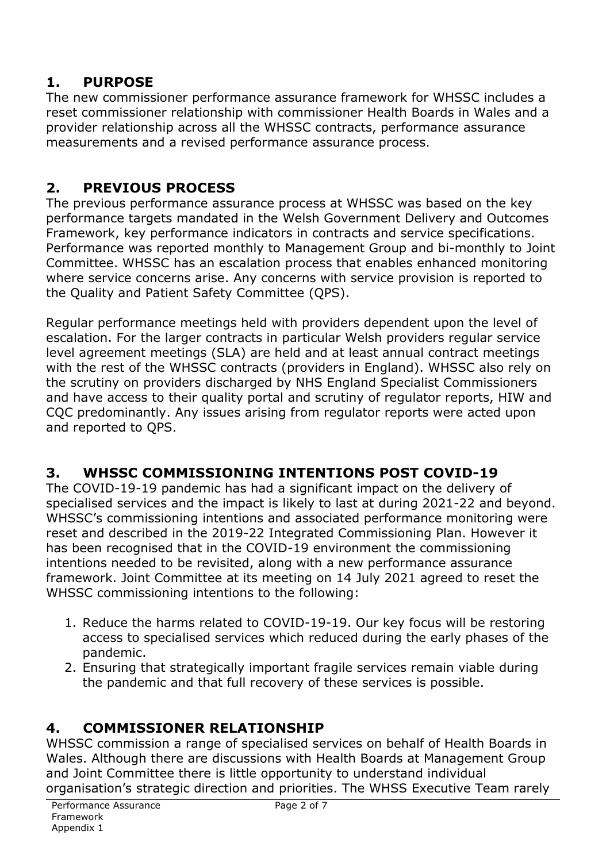# **1. PURPOSE**

The new commissioner performance assurance framework for WHSSC includes a reset commissioner relationship with commissioner Health Boards in Wales and a provider relationship across all the WHSSC contracts, performance assurance measurements and a revised performance assurance process.

# **2. PREVIOUS PROCESS**

The previous performance assurance process at WHSSC was based on the key performance targets mandated in the Welsh Government Delivery and Outcomes Framework, key performance indicators in contracts and service specifications. Performance was reported monthly to Management Group and bi-monthly to Joint Committee. WHSSC has an escalation process that enables enhanced monitoring where service concerns arise. Any concerns with service provision is reported to the Quality and Patient Safety Committee (QPS).

Regular performance meetings held with providers dependent upon the level of escalation. For the larger contracts in particular Welsh providers regular service level agreement meetings (SLA) are held and at least annual contract meetings with the rest of the WHSSC contracts (providers in England). WHSSC also rely on the scrutiny on providers discharged by NHS England Specialist Commissioners and have access to their quality portal and scrutiny of regulator reports, HIW and CQC predominantly. Any issues arising from regulator reports were acted upon and reported to QPS.

# **3. WHSSC COMMISSIONING INTENTIONS POST COVID-19**

The COVID-19-19 pandemic has had a significant impact on the delivery of specialised services and the impact is likely to last at during 2021-22 and beyond. WHSSC's commissioning intentions and associated performance monitoring were reset and described in the 2019-22 Integrated Commissioning Plan. However it has been recognised that in the COVID-19 environment the commissioning intentions needed to be revisited, along with a new performance assurance framework. Joint Committee at its meeting on 14 July 2021 agreed to reset the WHSSC commissioning intentions to the following:

- 1. Reduce the harms related to COVID-19-19. Our key focus will be restoring access to specialised services which reduced during the early phases of the pandemic.
- 2. Ensuring that strategically important fragile services remain viable during the pandemic and that full recovery of these services is possible.

# **4. COMMISSIONER RELATIONSHIP**

WHSSC commission a range of specialised services on behalf of Health Boards in Wales. Although there are discussions with Health Boards at Management Group and Joint Committee there is little opportunity to understand individual organisation's strategic direction and priorities. The WHSS Executive Team rarely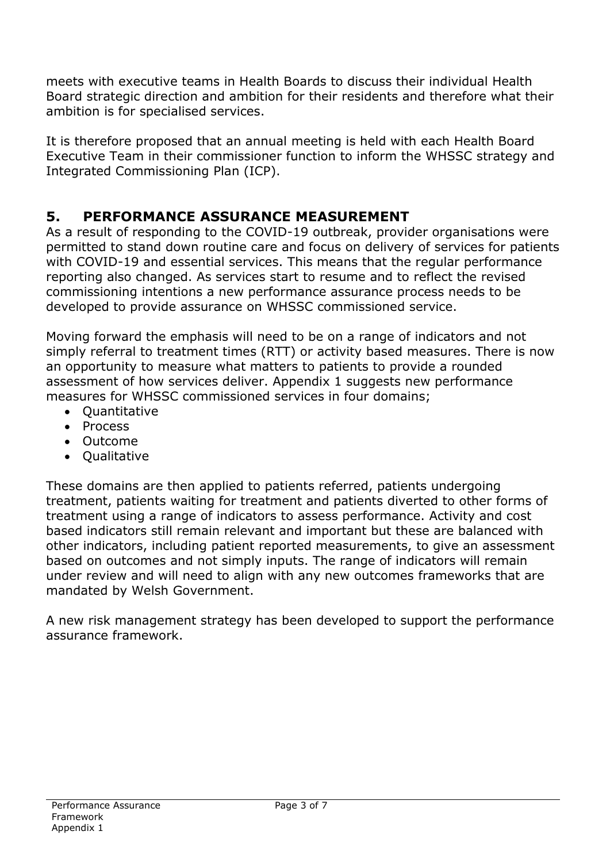meets with executive teams in Health Boards to discuss their individual Health Board strategic direction and ambition for their residents and therefore what their ambition is for specialised services.

It is therefore proposed that an annual meeting is held with each Health Board Executive Team in their commissioner function to inform the WHSSC strategy and Integrated Commissioning Plan (ICP).

# **5. PERFORMANCE ASSURANCE MEASUREMENT**

As a result of responding to the COVID-19 outbreak, provider organisations were permitted to stand down routine care and focus on delivery of services for patients with COVID-19 and essential services. This means that the regular performance reporting also changed. As services start to resume and to reflect the revised commissioning intentions a new performance assurance process needs to be developed to provide assurance on WHSSC commissioned service.

Moving forward the emphasis will need to be on a range of indicators and not simply referral to treatment times (RTT) or activity based measures. There is now an opportunity to measure what matters to patients to provide a rounded assessment of how services deliver. Appendix 1 suggests new performance measures for WHSSC commissioned services in four domains;

- Quantitative
- Process
- Outcome
- Qualitative

These domains are then applied to patients referred, patients undergoing treatment, patients waiting for treatment and patients diverted to other forms of treatment using a range of indicators to assess performance. Activity and cost based indicators still remain relevant and important but these are balanced with other indicators, including patient reported measurements, to give an assessment based on outcomes and not simply inputs. The range of indicators will remain under review and will need to align with any new outcomes frameworks that are mandated by Welsh Government.

A new risk management strategy has been developed to support the performance assurance framework.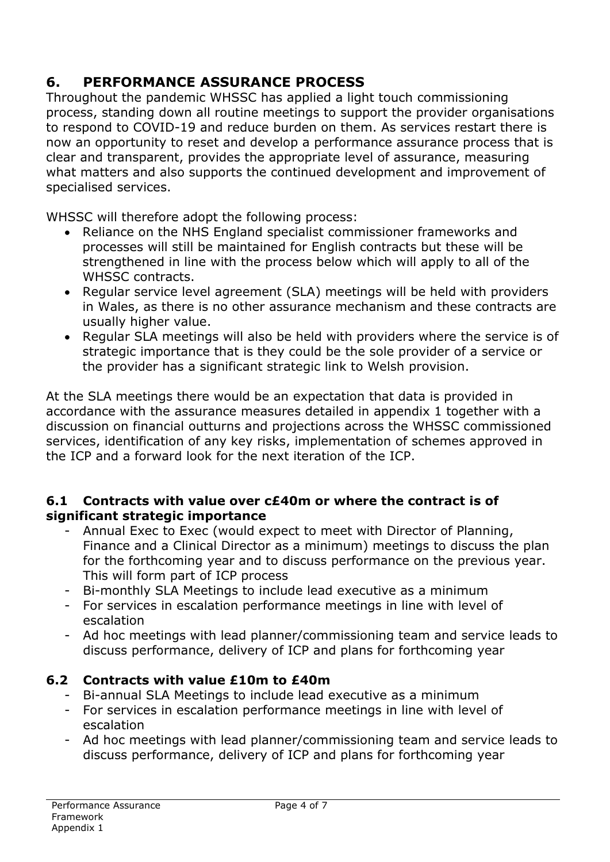# **6. PERFORMANCE ASSURANCE PROCESS**

Throughout the pandemic WHSSC has applied a light touch commissioning process, standing down all routine meetings to support the provider organisations to respond to COVID-19 and reduce burden on them. As services restart there is now an opportunity to reset and develop a performance assurance process that is clear and transparent, provides the appropriate level of assurance, measuring what matters and also supports the continued development and improvement of specialised services.

WHSSC will therefore adopt the following process:

- Reliance on the NHS England specialist commissioner frameworks and processes will still be maintained for English contracts but these will be strengthened in line with the process below which will apply to all of the WHSSC contracts.
- Regular service level agreement (SLA) meetings will be held with providers in Wales, as there is no other assurance mechanism and these contracts are usually higher value.
- Regular SLA meetings will also be held with providers where the service is of strategic importance that is they could be the sole provider of a service or the provider has a significant strategic link to Welsh provision.

At the SLA meetings there would be an expectation that data is provided in accordance with the assurance measures detailed in appendix 1 together with a discussion on financial outturns and projections across the WHSSC commissioned services, identification of any key risks, implementation of schemes approved in the ICP and a forward look for the next iteration of the ICP.

#### **6.1 Contracts with value over c£40m or where the contract is of significant strategic importance**

- Annual Exec to Exec (would expect to meet with Director of Planning, Finance and a Clinical Director as a minimum) meetings to discuss the plan for the forthcoming year and to discuss performance on the previous year. This will form part of ICP process
- Bi-monthly SLA Meetings to include lead executive as a minimum
- For services in escalation performance meetings in line with level of escalation
- Ad hoc meetings with lead planner/commissioning team and service leads to discuss performance, delivery of ICP and plans for forthcoming year

## **6.2 Contracts with value £10m to £40m**

- Bi-annual SLA Meetings to include lead executive as a minimum
- For services in escalation performance meetings in line with level of escalation
- Ad hoc meetings with lead planner/commissioning team and service leads to discuss performance, delivery of ICP and plans for forthcoming year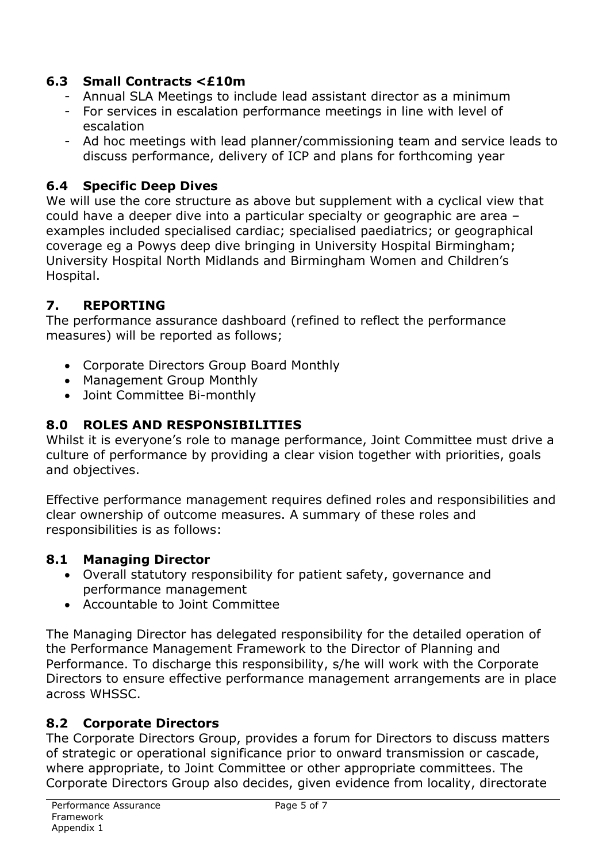### **6.3 Small Contracts <£10m**

- Annual SLA Meetings to include lead assistant director as a minimum
- For services in escalation performance meetings in line with level of escalation
- Ad hoc meetings with lead planner/commissioning team and service leads to discuss performance, delivery of ICP and plans for forthcoming year

## **6.4 Specific Deep Dives**

We will use the core structure as above but supplement with a cyclical view that could have a deeper dive into a particular specialty or geographic are area – examples included specialised cardiac; specialised paediatrics; or geographical coverage eg a Powys deep dive bringing in University Hospital Birmingham; University Hospital North Midlands and Birmingham Women and Children's Hospital.

## **7. REPORTING**

The performance assurance dashboard (refined to reflect the performance measures) will be reported as follows;

- Corporate Directors Group Board Monthly
- Management Group Monthly
- Joint Committee Bi-monthly

### **8.0 ROLES AND RESPONSIBILITIES**

Whilst it is everyone's role to manage performance, Joint Committee must drive a culture of performance by providing a clear vision together with priorities, goals and objectives.

Effective performance management requires defined roles and responsibilities and clear ownership of outcome measures. A summary of these roles and responsibilities is as follows:

#### **8.1 Managing Director**

- Overall statutory responsibility for patient safety, governance and performance management
- Accountable to Joint Committee

The Managing Director has delegated responsibility for the detailed operation of the Performance Management Framework to the Director of Planning and Performance. To discharge this responsibility, s/he will work with the Corporate Directors to ensure effective performance management arrangements are in place across WHSSC.

#### **8.2 Corporate Directors**

The Corporate Directors Group, provides a forum for Directors to discuss matters of strategic or operational significance prior to onward transmission or cascade, where appropriate, to Joint Committee or other appropriate committees. The Corporate Directors Group also decides, given evidence from locality, directorate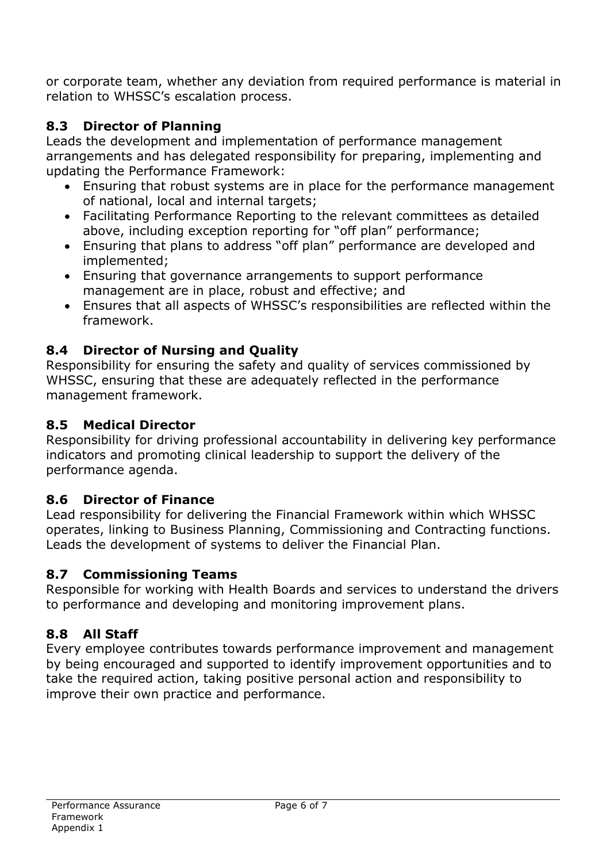or corporate team, whether any deviation from required performance is material in relation to WHSSC's escalation process.

## **8.3 Director of Planning**

Leads the development and implementation of performance management arrangements and has delegated responsibility for preparing, implementing and updating the Performance Framework:

- Ensuring that robust systems are in place for the performance management of national, local and internal targets;
- Facilitating Performance Reporting to the relevant committees as detailed above, including exception reporting for "off plan" performance;
- Ensuring that plans to address "off plan" performance are developed and implemented;
- Ensuring that governance arrangements to support performance management are in place, robust and effective; and
- Ensures that all aspects of WHSSC's responsibilities are reflected within the framework.

## **8.4 Director of Nursing and Quality**

Responsibility for ensuring the safety and quality of services commissioned by WHSSC, ensuring that these are adequately reflected in the performance management framework.

### **8.5 Medical Director**

Responsibility for driving professional accountability in delivering key performance indicators and promoting clinical leadership to support the delivery of the performance agenda.

#### **8.6 Director of Finance**

Lead responsibility for delivering the Financial Framework within which WHSSC operates, linking to Business Planning, Commissioning and Contracting functions. Leads the development of systems to deliver the Financial Plan.

#### **8.7 Commissioning Teams**

Responsible for working with Health Boards and services to understand the drivers to performance and developing and monitoring improvement plans.

#### **8.8 All Staff**

Every employee contributes towards performance improvement and management by being encouraged and supported to identify improvement opportunities and to take the required action, taking positive personal action and responsibility to improve their own practice and performance.